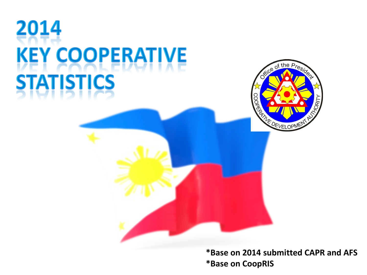# 2014 **KEY COOPERATIVE TATISTICS**



**\*Base on 2014 submitted CAPR and AFS \*Base on CoopRIS**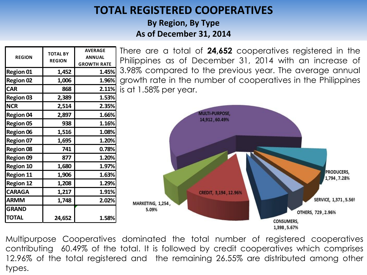### **TOTAL REGISTERED COOPERATIVES**

**By Region, By Type As of December 31, 2014**

| <b>REGION</b>    | <b>TOTAL BY</b><br><b>REGION</b> | <b>AVERAGE</b><br><b>ANNUAL</b> |
|------------------|----------------------------------|---------------------------------|
|                  |                                  | <b>GROWTH RATE</b>              |
| <b>Region 01</b> | 1,452                            | 1.45%                           |
| <b>Region 02</b> | 1,006                            | 1.96%                           |
| <b>CAR</b>       | 868                              | 2.11%                           |
| <b>Region 03</b> | 2,389                            | 1.53%                           |
| <b>NCR</b>       | 2,514                            | 2.35%                           |
| <b>Region 04</b> | 2,897                            | 1.66%                           |
| <b>Region 05</b> | 938                              | 1.16%                           |
| <b>Region 06</b> | 1,516                            | 1.08%                           |
| <b>Region 07</b> | 1,695                            | 1.20%                           |
| <b>Region 08</b> | 741                              | 0.78%                           |
| <b>Region 09</b> | 877                              | 1.20%                           |
| <b>Region 10</b> | 1,680                            | 1.97%                           |
| <b>Region 11</b> | 1,906                            | 1.63%                           |
| <b>Region 12</b> | 1,208                            | 1.29%                           |
| <b>CARAGA</b>    | 1,217                            | 1.91%                           |
| <b>ARMM</b>      | 1,748                            | 2.02%                           |
| <b>GRAND</b>     |                                  |                                 |
| TOTAL            | 24,652                           | 1.58%                           |

There are a total of **24,652** cooperatives registered in the Philippines as of December 31, 2014 with an increase of 3.98% compared to the previous year. The average annual growth rate in the number of cooperatives in the Philippines is at 1.58% per year.



Multipurpose Cooperatives dominated the total number of registered cooperatives contributing 60.49% of the total. It is followed by credit cooperatives which comprises 12.96% of the total registered and the remaining 26.55% are distributed among other types.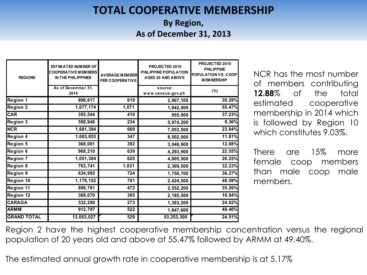### **TOTAL COOPERATIVE MEMBERSHIP**

**By Region, As of December 31, 2013**

| <b>REGIONS</b>     | <b>ESTIM ATED NUM BER OF</b><br><b>COOPERATIVE MEMBERS</b><br>IN THE PHILIPPINES | <b>AVERAGE MEMBER</b><br>PER COOPERATIVE | PROJECTED 2010<br>PHILIPPINE POPULATION<br><b>AGES 20 AND ABOVE</b> | PROJECTED 2010<br><b>PHILIPPINE</b><br><b>POPULATION VS. COOP</b><br><b>MEMBERSHIP</b> |
|--------------------|----------------------------------------------------------------------------------|------------------------------------------|---------------------------------------------------------------------|----------------------------------------------------------------------------------------|
|                    | As of December 31,<br>2014                                                       |                                          | source:<br>www.census.gov.ph                                        | (%)                                                                                    |
| Region 1           | 898,617                                                                          | 619                                      | 2,967,100                                                           | 30.29%                                                                                 |
| <b>Region 2</b>    | 1,077,174                                                                        | 1,071                                    | 1,942,000                                                           | 55.47%                                                                                 |
| <b>CAR</b>         | 355,544                                                                          | 410                                      | 955,000                                                             | 37.23%                                                                                 |
| Region 3           | 558,946                                                                          | 234                                      | 5,974,200                                                           | 9.36%                                                                                  |
| <b>NCR</b>         | 1,681,394                                                                        | 669                                      | 7,053,500                                                           | 23.84%                                                                                 |
| <b>Region 4</b>    | 1,003,853                                                                        | 347                                      | 8,502,000                                                           | 11.81%                                                                                 |
| Region 5           | 368,081                                                                          | 392                                      | 3,046,900                                                           | 12.08%                                                                                 |
| Region 6           | 968,210                                                                          | 639                                      | 4,293,900                                                           | 22.55%                                                                                 |
| <b>Region 7</b>    | 1,051,384                                                                        | 620                                      | 4,005,500                                                           | 26.25%                                                                                 |
| <b>Region 8</b>    | 763,741                                                                          | 1,031                                    | 2,369,500                                                           | 32.23%                                                                                 |
| Region 9           | 634,992                                                                          | 724                                      | 1,750,700                                                           | 36.27%                                                                                 |
| Region 10          | 1,178,152                                                                        | 701                                      | 2,424,500                                                           | 48.59%                                                                                 |
| Region 11          | 899,781                                                                          | 472                                      | 2,552,200                                                           | 35.26%                                                                                 |
| <b>Region 12</b>   | 368,070                                                                          | 305                                      | 2,185,500                                                           | 16.84%                                                                                 |
| <b>CARAGA</b>      | 332,290                                                                          | 273                                      | 1,383,200                                                           | 24.02%                                                                                 |
| <b>ARMM</b>        | 912,797                                                                          | 522                                      | 1,847,600                                                           | 49.40%                                                                                 |
| <b>GRAND TOTAL</b> | 13,053,027                                                                       | 529                                      | 53,253,300                                                          | 24.51%                                                                                 |

**AGES 20 AND ABOVE** NCR has the most number of members contributing **12.88**% of the total estimated cooperative membership in 2014 which is followed by Region 10 which constitutes 9.03%.

There are 15% more female coop members than male coop male members.

Region 2 have the highest cooperative membership concentration versus the regional population of 20 years old and above at 55.47% followed by ARMM at 49.40%.

The estimated annual growth rate in cooperative membership is at 5.17%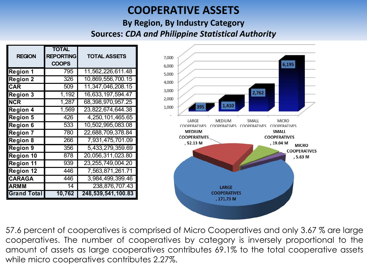### **COOPERATIVE ASSETS**

#### **By Region, By Industry Category Sources:** *CDA and Philippine Statistical Authority*

| <b>REGION</b>      | <b>TOTAL</b><br><b>REPORTING</b><br><b>COOPS</b> | <b>TOTAL ASSETS</b>   |
|--------------------|--------------------------------------------------|-----------------------|
| <b>Region 1</b>    | 795                                              | 11,562,226,611.48     |
| <b>Region 2</b>    | 326                                              | 10,869,556,700.15     |
| <b>CAR</b>         | 509                                              | 11,347,046,208.15     |
| <b>Region 3</b>    | 1,192                                            | 16,633,197,594.47     |
| <b>NCR</b>         | 1,287                                            | 68,398,970,957.25     |
| <b>Region 4</b>    | 1,569                                            | 23,822,674,644.38     |
| <b>Region 5</b>    | 426                                              | 4,250,101,465.65      |
| <b>Region 6</b>    | 533                                              | 10,502,995,083.08     |
| <b>Region 7</b>    | 780                                              | 22,688,709,378.84     |
| <b>Region 8</b>    | 266                                              | 7,931,475,701.09      |
| <b>Region 9</b>    | 356                                              | 5,433,279,359.69      |
| Region 10          | 878                                              | 20,056,311,023.80     |
| <b>Region 11</b>   | 939                                              | 23, 255, 749, 004. 20 |
| <b>Region 12</b>   | 446                                              | 7,563,871,261.71      |
| <b>CARAGA</b>      | 446                                              | 3,984,499,399.46      |
| <b>ARMM</b>        | 14                                               | 238,876,707.43        |
| <b>Grand Total</b> | 10,762                                           | 248,539,541,100.83    |



57.6 percent of cooperatives is comprised of Micro Cooperatives and only 3.67 % are large cooperatives. The number of cooperatives by category is inversely proportional to the amount of assets as large cooperatives contributes 69.1% to the total cooperative assets while micro cooperatives contributes 2.27%.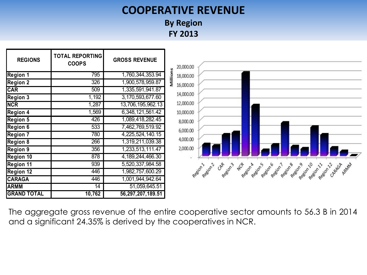### **COOPERATIVE REVENUE**

**By Region FY 2013**



The aggregate gross revenue of the entire cooperative sector amounts to 56.3 B in 2014 and a significant 24.35% is derived by the cooperatives in NCR.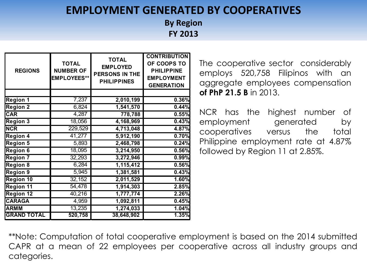### **EMPLOYMENT GENERATED BY COOPERATIVES**

**By Region FY 2013**

| <b>REGIONS</b>     | <b>TOTAL</b><br><b>NUMBER OF</b><br><b>EMPLOYEES**</b> | <b>TOTAL</b><br><b>EMPLOYED</b><br><b>PERSONS IN THE</b><br><b>PHILIPPINES</b> | <b>CONTRIBUTION</b><br>OF COOPS TO<br><b>PHILIPPINE</b><br><b>EMPLOYMENT</b><br><b>GENERATION</b> |
|--------------------|--------------------------------------------------------|--------------------------------------------------------------------------------|---------------------------------------------------------------------------------------------------|
|                    |                                                        |                                                                                |                                                                                                   |
| <b>Region 1</b>    | 7,237                                                  | 2,010,199                                                                      | 0.36%                                                                                             |
| <b>Region 2</b>    | 6,824                                                  | 1,541,570                                                                      | 0.44%                                                                                             |
| <b>CAR</b>         | 4,287                                                  | 778,788                                                                        | 0.55%                                                                                             |
| <b>Region 3</b>    | 18,056                                                 | 4,168,969                                                                      | 0.43%                                                                                             |
| <b>NCR</b>         | 229,529                                                | 4,713,048                                                                      | 4.87%                                                                                             |
| <b>Region 4</b>    | 41,277                                                 | 5,912,190                                                                      | 0.70%                                                                                             |
| <b>Region 5</b>    | 5,893                                                  | 2,468,798                                                                      | 0.24%                                                                                             |
| <b>Region 6</b>    | 18,095                                                 | 3,214,950                                                                      | 0.56%                                                                                             |
| <b>Region 7</b>    | 32,293                                                 | 3,272,946                                                                      | 0.99%                                                                                             |
| <b>Region 8</b>    | 6,284                                                  | 1,115,412                                                                      | 0.56%                                                                                             |
| <b>Region 9</b>    | 5,945                                                  | 1,381,581                                                                      | 0.43%                                                                                             |
| <b>Region 10</b>   | 32,152                                                 | 2,011,529                                                                      | 1.60%                                                                                             |
| <b>Region 11</b>   | 54,478                                                 | 1,914,303                                                                      | 2.85%                                                                                             |
| <b>Region 12</b>   | 40,216                                                 | 1,777,774                                                                      | 2.26%                                                                                             |
| <b>CARAGA</b>      | 4,959                                                  | 1,092,811                                                                      | 0.45%                                                                                             |
| <b>ARMM</b>        | 13,235                                                 | 1,274,033                                                                      | 1.04%                                                                                             |
| <b>GRAND TOTAL</b> | 520,758                                                | 38,648,902                                                                     | 1.35%                                                                                             |

The cooperative sector considerably employs 520,758 Filipinos with an aggregate employees compensation **of PhP 21.5 B** in 2013.

NCR has the highest number of employment generated by cooperatives versus the total Philippine employment rate at 4.87% followed by Region 11 at 2.85%.

\*\*Note: Computation of total cooperative employment is based on the 2014 submitted CAPR at a mean of 22 employees per cooperative across all industry groups and categories.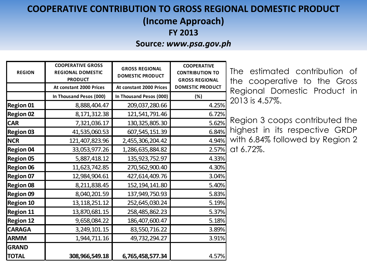### **COOPERATIVE CONTRIBUTION TO GROSS REGIONAL DOMESTIC PRODUCT**

**(Income Approach)**

**FY 2013**

#### **Source***: www.psa.gov.ph*

| <b>REGION</b>    | <b>COOPERATIVE GROSS</b><br><b>REGIONAL DOMESTIC</b><br><b>PRODUCT</b> | <b>GROSS REGIONAL</b><br><b>DOMESTIC PRODUCT</b> | <b>COOPERATIVE</b><br><b>CONTRIBUTION TO</b><br><b>GROSS REGIONAL</b> |
|------------------|------------------------------------------------------------------------|--------------------------------------------------|-----------------------------------------------------------------------|
|                  | At constant 2000 Prices                                                | At constant 2000 Prices                          | <b>DOMESTIC PRODUCT</b>                                               |
|                  | In Thousand Pesos (000)                                                | In Thousand Pesos (000)                          | (%)                                                                   |
| <b>Region 01</b> | 8,888,404.47                                                           | 209,037,280.66                                   | 4.25%                                                                 |
| <b>Region 02</b> | 8,171,312.38                                                           | 121,541,791.46                                   | 6.72%                                                                 |
| <b>CAR</b>       | 7,321,036.17                                                           | 130, 325, 805. 30                                | 5.62%                                                                 |
| <b>Region 03</b> | 41,535,060.53                                                          | 607, 545, 151.39                                 | 6.84%                                                                 |
| <b>NCR</b>       | 121,407,823.96                                                         | 2,455,306,204.42                                 | 4.94%                                                                 |
| <b>Region 04</b> | 33,053,977.26                                                          | 1,286,635,884.82                                 | 2.57%                                                                 |
| <b>Region 05</b> | 5,887,418.12                                                           | 135,923,752.97                                   | 4.33%                                                                 |
| <b>Region 06</b> | 11,623,742.85                                                          | 270,562,900.40                                   | 4.30%                                                                 |
| <b>Region 07</b> | 12,984,904.61                                                          | 427,614,409.76                                   | 3.04%                                                                 |
| <b>Region 08</b> | 8,211,838.45                                                           | 152, 194, 141.80                                 | 5.40%                                                                 |
| <b>Region 09</b> | 8,040,201.59                                                           | 137,949,750.93                                   | 5.83%                                                                 |
| <b>Region 10</b> | 13, 118, 251. 12                                                       | 252,645,030.24                                   | 5.19%                                                                 |
| <b>Region 11</b> | 13,870,681.15                                                          | 258,485,862.23                                   | 5.37%                                                                 |
| <b>Region 12</b> | 9,658,084.22                                                           | 186,407,600.47                                   | 5.18%                                                                 |
| <b>CARAGA</b>    | 3,249,101.15                                                           | 83,550,716.22                                    | 3.89%                                                                 |
| <b>ARMM</b>      | 1,944,711.16                                                           | 49,732,294.27                                    | 3.91%                                                                 |
| <b>GRAND</b>     |                                                                        |                                                  |                                                                       |
| <b>TOTAL</b>     | 308,966,549.18                                                         | 6,765,458,577.34                                 | 4.57%                                                                 |

The estimated contribution of the cooperative to the Gross Regional Domestic Product in 2013 is 4.57%.

Region 3 coops contributed the highest in its respective GRDP with 6.84% followed by Region 2 at 6.72%.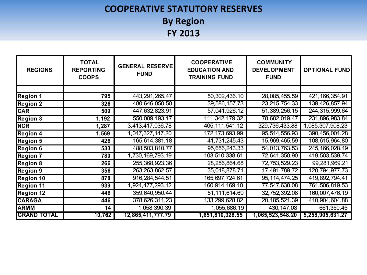### **COOPERATIVE STATUTORY RESERVES By Region FY 2013**

| <b>REGIONS</b>     | <b>TOTAL</b><br><b>REPORTING</b><br><b>COOPS</b> | <b>GENERAL RESERVE</b><br><b>FUND</b> | <b>COOPERATIVE</b><br><b>EDUCATION AND</b><br><b>TRAINING FUND</b> | <b>COMMUNITY</b><br><b>DEVELOPMENT</b><br><b>FUND</b> | <b>OPTIONAL FUND</b> |
|--------------------|--------------------------------------------------|---------------------------------------|--------------------------------------------------------------------|-------------------------------------------------------|----------------------|
|                    |                                                  |                                       |                                                                    |                                                       |                      |
| Region 1           | 795                                              | 443,291,265.47                        | 50,302,436.10                                                      | 28,085,455.59                                         | 421, 166, 354. 91    |
| <b>Region 2</b>    | 326                                              | 480,646,050.50                        | 39,586,157.73                                                      | 23, 215, 754. 33                                      | 139,426,857.94       |
| <b>CAR</b>         | 509                                              | 447,632,823.91                        | 57,041,926.12                                                      | 51,389,256.15                                         | 244,315,999.64       |
| <b>Region 3</b>    | 1,192                                            | 550,089,193.17                        | 111, 342, 179. 32                                                  | 78,682,019.47                                         | 231,896,983.84       |
| <b>NCR</b>         | 1,287                                            | 3,413,417,036.78                      | 405, 111, 541. 12                                                  | 329,736,433.88                                        | 1,085,307,908.23     |
| <b>Region 4</b>    | 1,569                                            | 1,047,327,147.20                      | 172, 173, 693. 99                                                  | 95,514,556.93                                         | 390,456,001.28       |
| <b>Region 5</b>    | 426                                              | 165,614,381.18                        | 41,731,245.43                                                      | 15,969,465.59                                         | 108,615,964.80       |
| <b>Region 6</b>    | 533                                              | 488,503,810.77                        | 95,656,243.33                                                      | 54,013,763.53                                         | 245, 166, 028.49     |
| <b>Region 7</b>    | 780                                              | 1,730,169,793.19                      | 103,510,338.61                                                     | 72,641,350.90                                         | 419,503,539.74       |
| <b>Region 8</b>    | 266                                              | 255, 368, 923. 36                     | 28,256,864.68                                                      | 72,753,529.23                                         | 99,281,969.21        |
| <b>Region 9</b>    | 356                                              | 263, 263, 862.57                      | 35,018,878.71                                                      | 17,491,789.72                                         | 120, 794, 977. 73    |
| <b>Region 10</b>   | 878                                              | 916,284,544.51                        | 165,697,724.61                                                     | 95, 114, 474. 25                                      | 419,892,794.41       |
| <b>Region 11</b>   | 939                                              | 1,924,477,293.12                      | 160,914,169.10                                                     | 77,547,638.08                                         | 761,506,819.53       |
| <b>Region 12</b>   | 446                                              | 359,640,950.44                        | 51,111,614.69                                                      | 32,752,392.08                                         | 160,007,476.19       |
| <b>CARAGA</b>      | 446                                              | 378,626,311.23                        | 133,299,628.82                                                     | 20, 185, 521.39                                       | 410,904,604.88       |
| <b>ARMM</b>        | 14                                               | 1,058,390.39                          | 1,055,686.19                                                       | 430, 147.08                                           | 661,350.45           |
| <b>GRAND TOTAL</b> | 10,762                                           | 12,865,411,777.79                     | 1,651,810,328.55                                                   | 1,065,523,548.20                                      | 5,258,905,631.27     |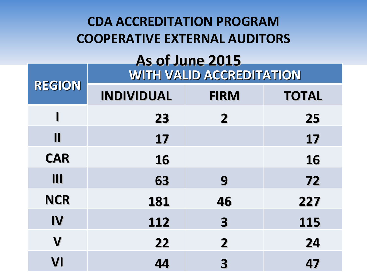# **CDA ACCREDITATION PROGRAM COOPERATIVE EXTERNAL AUDITORS**

### **WITH VALID ACCREDITATION As of June 2015**

| <b>REGION</b>          | <b>INDIVIDUAL</b> | <b>FIRM</b>             | <b>TOTAL</b> |  |
|------------------------|-------------------|-------------------------|--------------|--|
| ı                      | 23                | $\overline{2}$          | 25           |  |
| $\mathbf{\mathsf{II}}$ | 17                |                         | 17           |  |
| <b>CAR</b>             | <b>16</b>         |                         | 16           |  |
| III                    | 63                | 9                       | 72           |  |
| <b>NCR</b>             | 181               | 46                      | 227          |  |
| IV                     | 112               | $\overline{\mathbf{3}}$ | 115          |  |
| $\mathbf V$            | 22                | $\overline{2}$          | 24           |  |
| VI                     | 44                | 3                       | 47           |  |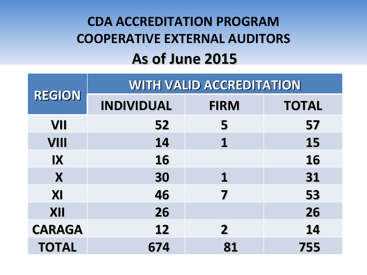# **CDA ACCREDITATION PROGRAM COOPERATIVE EXTERNAL AUDITORS As of June 2015**

|               | <b>WITH VALID ACCREDITATION</b> |              |              |  |
|---------------|---------------------------------|--------------|--------------|--|
| <b>REGION</b> | <b>INDIVIDUAL</b>               | <b>FIRM</b>  | <b>TOTAL</b> |  |
| VII           | 52                              | 5            | 57           |  |
| <b>VIII</b>   | 14                              | 1            | 15           |  |
| $\mathbf{I}$  | <b>16</b>                       |              | <b>16</b>    |  |
| X             | 30                              | 1            | 31           |  |
| XI            | 46                              | 7            | 53           |  |
| XII           | 26                              |              | 26           |  |
| <b>CARAGA</b> | 12                              | $\mathbf{2}$ | 14           |  |
| <b>TOTAL</b>  | 674                             | 81           | 755          |  |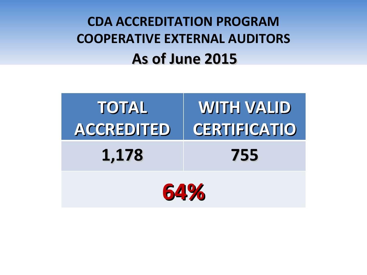# **CDA ACCREDITATION PROGRAM COOPERATIVE EXTERNAL AUDITORS As of June 2015**

| <b>TOTAL</b> | <b>WITH VALID</b>   |  |  |
|--------------|---------------------|--|--|
| ACCREDITED   | <b>CERTIFICATIO</b> |  |  |
| 1,178        | 755                 |  |  |
| 64%          |                     |  |  |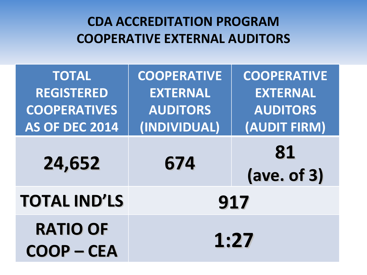## **CDA ACCREDITATION PROGRAM COOPERATIVE EXTERNAL AUDITORS**

| <b>TOTAL</b>                       | <b>COOPERATIVE</b> | <b>COOPERATIVE</b>         |  |
|------------------------------------|--------------------|----------------------------|--|
| <b>REGISTERED</b>                  | <b>EXTERNAL</b>    | <b>EXTERNAL</b>            |  |
| <b>COOPERATIVES</b>                | <b>AUDITORS</b>    | <b>AUDITORS</b>            |  |
| AS OF DEC 2014                     | (INDIVIDUAL)       | (AUDIT FIRM)               |  |
| 24,652                             | 674                | 81<br>$(\text{ave. of 3})$ |  |
| <b>TOTAL IND'LS</b>                | 917                |                            |  |
| <b>RATIO OF</b><br><b>COOP-CEA</b> | 1:27               |                            |  |